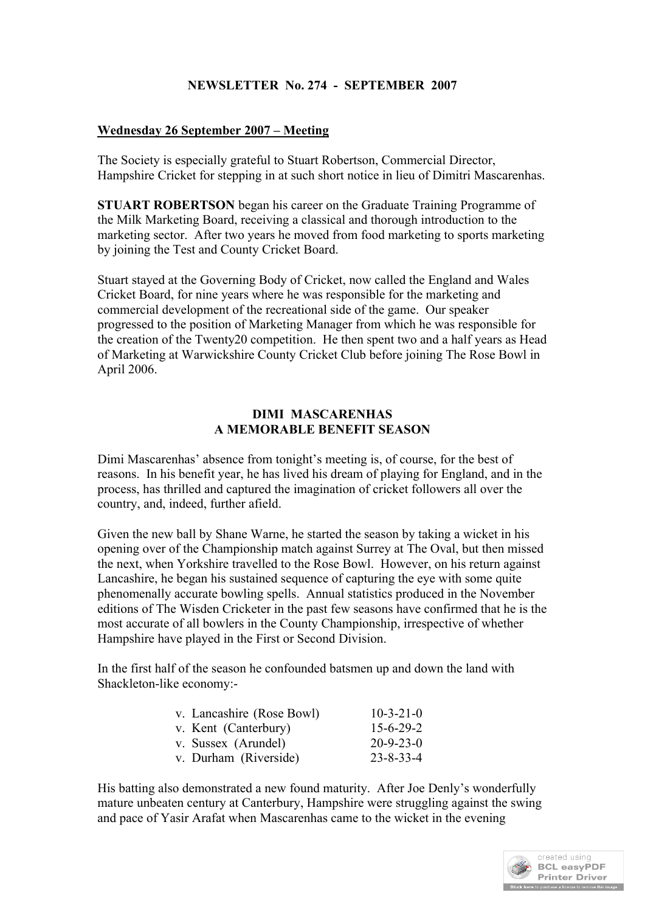# **NEWSLETTER No. 274 - SEPTEMBER 2007**

### **Wednesday 26 September 2007 – Meeting**

The Society is especially grateful to Stuart Robertson, Commercial Director, Hampshire Cricket for stepping in at such short notice in lieu of Dimitri Mascarenhas.

**STUART ROBERTSON** began his career on the Graduate Training Programme of the Milk Marketing Board, receiving a classical and thorough introduction to the marketing sector. After two years he moved from food marketing to sports marketing by joining the Test and County Cricket Board.

Stuart stayed at the Governing Body of Cricket, now called the England and Wales Cricket Board, for nine years where he was responsible for the marketing and commercial development of the recreational side of the game. Our speaker progressed to the position of Marketing Manager from which he was responsible for the creation of the Twenty20 competition. He then spent two and a half years as Head of Marketing at Warwickshire County Cricket Club before joining The Rose Bowl in April 2006.

#### **DIMI MASCARENHAS A MEMORABLE BENEFIT SEASON**

Dimi Mascarenhas' absence from tonight's meeting is, of course, for the best of reasons. In his benefit year, he has lived his dream of playing for England, and in the process, has thrilled and captured the imagination of cricket followers all over the country, and, indeed, further afield.

Given the new ball by Shane Warne, he started the season by taking a wicket in his opening over of the Championship match against Surrey at The Oval, but then missed the next, when Yorkshire travelled to the Rose Bowl. However, on his return against Lancashire, he began his sustained sequence of capturing the eye with some quite phenomenally accurate bowling spells. Annual statistics produced in the November editions of The Wisden Cricketer in the past few seasons have confirmed that he is the most accurate of all bowlers in the County Championship, irrespective of whether Hampshire have played in the First or Second Division.

In the first half of the season he confounded batsmen up and down the land with Shackleton-like economy:-

| v. Lancashire (Rose Bowl) | $10 - 3 - 21 - 0$ |
|---------------------------|-------------------|
| v. Kent (Canterbury)      | $15 - 6 - 29 - 2$ |
| v. Sussex (Arundel)       | $20 - 9 - 23 - 0$ |
| v. Durham (Riverside)     | $23 - 8 - 33 - 4$ |

His batting also demonstrated a new found maturity. After Joe Denly's wonderfully mature unbeaten century at Canterbury, Hampshire were struggling against the swing and pace of Yasir Arafat when Mascarenhas came to the wicket in the evening

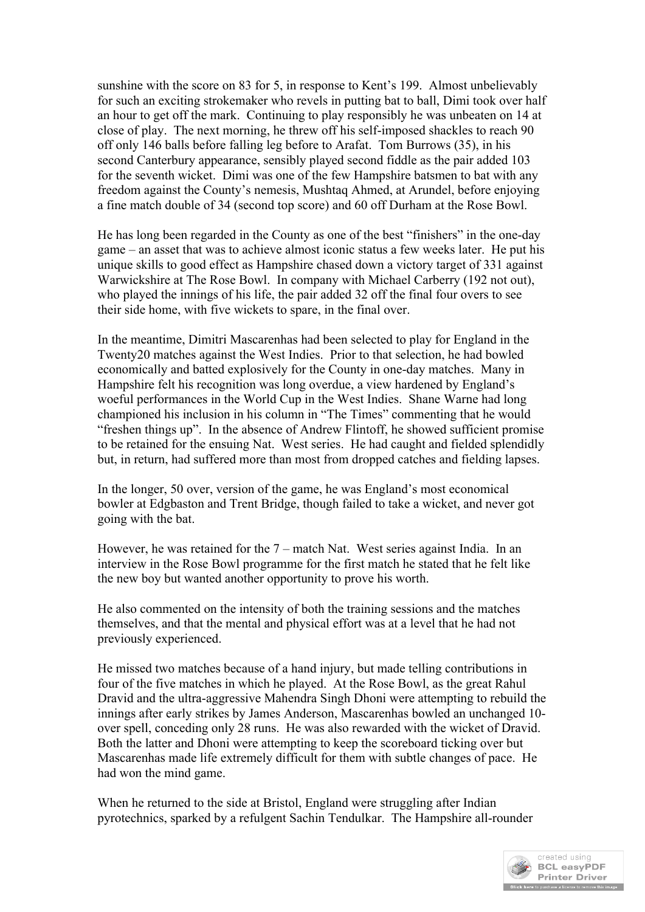sunshine with the score on 83 for 5, in response to Kent's 199. Almost unbelievably for such an exciting strokemaker who revels in putting bat to ball, Dimi took over half an hour to get off the mark. Continuing to play responsibly he was unbeaten on 14 at close of play. The next morning, he threw off his self-imposed shackles to reach 90 off only 146 balls before falling leg before to Arafat. Tom Burrows (35), in his second Canterbury appearance, sensibly played second fiddle as the pair added 103 for the seventh wicket. Dimi was one of the few Hampshire batsmen to bat with any freedom against the County's nemesis, Mushtaq Ahmed, at Arundel, before enjoying a fine match double of 34 (second top score) and 60 off Durham at the Rose Bowl.

He has long been regarded in the County as one of the best "finishers" in the one-day game – an asset that was to achieve almost iconic status a few weeks later. He put his unique skills to good effect as Hampshire chased down a victory target of 331 against Warwickshire at The Rose Bowl. In company with Michael Carberry (192 not out), who played the innings of his life, the pair added 32 off the final four overs to see their side home, with five wickets to spare, in the final over.

In the meantime, Dimitri Mascarenhas had been selected to play for England in the Twenty20 matches against the West Indies. Prior to that selection, he had bowled economically and batted explosively for the County in one-day matches. Many in Hampshire felt his recognition was long overdue, a view hardened by England's woeful performances in the World Cup in the West Indies. Shane Warne had long championed his inclusion in his column in "The Times" commenting that he would "freshen things up". In the absence of Andrew Flintoff, he showed sufficient promise to be retained for the ensuing Nat. West series. He had caught and fielded splendidly but, in return, had suffered more than most from dropped catches and fielding lapses.

In the longer, 50 over, version of the game, he was England's most economical bowler at Edgbaston and Trent Bridge, though failed to take a wicket, and never got going with the bat.

However, he was retained for the 7 – match Nat. West series against India. In an interview in the Rose Bowl programme for the first match he stated that he felt like the new boy but wanted another opportunity to prove his worth.

He also commented on the intensity of both the training sessions and the matches themselves, and that the mental and physical effort was at a level that he had not previously experienced.

He missed two matches because of a hand injury, but made telling contributions in four of the five matches in which he played. At the Rose Bowl, as the great Rahul Dravid and the ultra-aggressive Mahendra Singh Dhoni were attempting to rebuild the innings after early strikes by James Anderson, Mascarenhas bowled an unchanged 10 over spell, conceding only 28 runs. He was also rewarded with the wicket of Dravid. Both the latter and Dhoni were attempting to keep the scoreboard ticking over but Mascarenhas made life extremely difficult for them with subtle changes of pace. He had won the mind game.

When he returned to the side at Bristol, England were struggling after Indian pyrotechnics, sparked by a refulgent Sachin Tendulkar. The Hampshire all-rounder

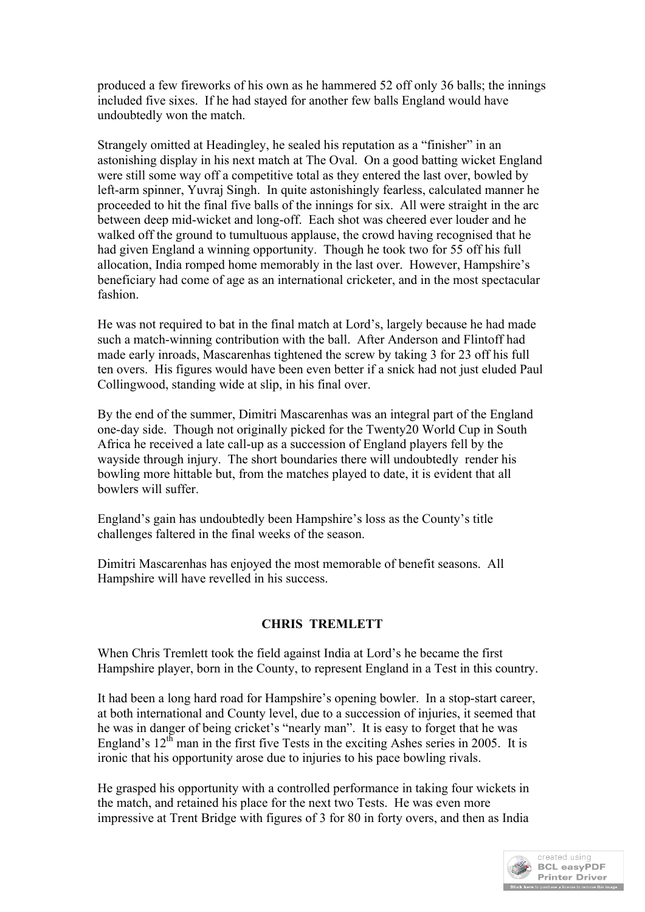produced a few fireworks of his own as he hammered 52 off only 36 balls; the innings included five sixes. If he had stayed for another few balls England would have undoubtedly won the match.

Strangely omitted at Headingley, he sealed his reputation as a "finisher" in an astonishing display in his next match at The Oval. On a good batting wicket England were still some way off a competitive total as they entered the last over, bowled by left-arm spinner, Yuvraj Singh. In quite astonishingly fearless, calculated manner he proceeded to hit the final five balls of the innings for six. All were straight in the arc between deep mid-wicket and long-off. Each shot was cheered ever louder and he walked off the ground to tumultuous applause, the crowd having recognised that he had given England a winning opportunity. Though he took two for 55 off his full allocation, India romped home memorably in the last over. However, Hampshire's beneficiary had come of age as an international cricketer, and in the most spectacular fashion.

He was not required to bat in the final match at Lord's, largely because he had made such a match-winning contribution with the ball. After Anderson and Flintoff had made early inroads, Mascarenhas tightened the screw by taking 3 for 23 off his full ten overs. His figures would have been even better if a snick had not just eluded Paul Collingwood, standing wide at slip, in his final over.

By the end of the summer, Dimitri Mascarenhas was an integral part of the England one-day side. Though not originally picked for the Twenty20 World Cup in South Africa he received a late call-up as a succession of England players fell by the wayside through injury. The short boundaries there will undoubtedly render his bowling more hittable but, from the matches played to date, it is evident that all bowlers will suffer.

England's gain has undoubtedly been Hampshire's loss as the County's title challenges faltered in the final weeks of the season.

Dimitri Mascarenhas has enjoyed the most memorable of benefit seasons. All Hampshire will have revelled in his success.

# **CHRIS TREMLETT**

When Chris Tremlett took the field against India at Lord's he became the first Hampshire player, born in the County, to represent England in a Test in this country.

It had been a long hard road for Hampshire's opening bowler. In a stop-start career, at both international and County level, due to a succession of injuries, it seemed that he was in danger of being cricket's "nearly man". It is easy to forget that he was England's  $12<sup>th</sup>$  man in the first five Tests in the exciting Ashes series in 2005. It is ironic that his opportunity arose due to injuries to his pace bowling rivals.

He grasped his opportunity with a controlled performance in taking four wickets in the match, and retained his place for the next two Tests. He was even more impressive at Trent Bridge with figures of 3 for 80 in forty overs, and then as India

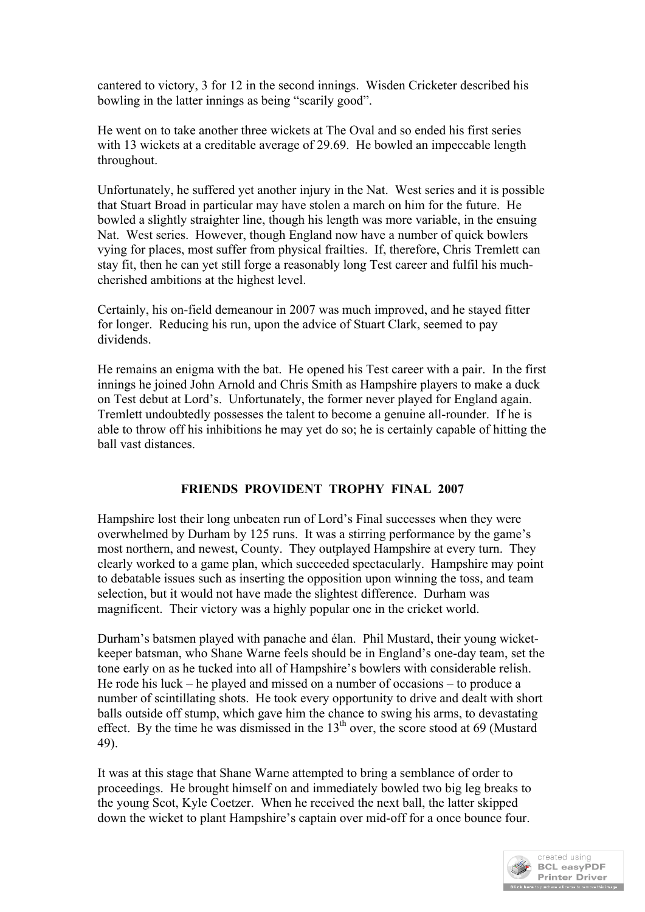cantered to victory, 3 for 12 in the second innings. Wisden Cricketer described his bowling in the latter innings as being "scarily good".

He went on to take another three wickets at The Oval and so ended his first series with 13 wickets at a creditable average of 29.69. He bowled an impeccable length throughout.

Unfortunately, he suffered yet another injury in the Nat. West series and it is possible that Stuart Broad in particular may have stolen a march on him for the future. He bowled a slightly straighter line, though his length was more variable, in the ensuing Nat. West series. However, though England now have a number of quick bowlers vying for places, most suffer from physical frailties. If, therefore, Chris Tremlett can stay fit, then he can yet still forge a reasonably long Test career and fulfil his muchcherished ambitions at the highest level.

Certainly, his on-field demeanour in 2007 was much improved, and he stayed fitter for longer. Reducing his run, upon the advice of Stuart Clark, seemed to pay dividends.

He remains an enigma with the bat. He opened his Test career with a pair. In the first innings he joined John Arnold and Chris Smith as Hampshire players to make a duck on Test debut at Lord's. Unfortunately, the former never played for England again. Tremlett undoubtedly possesses the talent to become a genuine all-rounder. If he is able to throw off his inhibitions he may yet do so; he is certainly capable of hitting the ball vast distances.

### **FRIENDS PROVIDENT TROPHY FINAL 2007**

Hampshire lost their long unbeaten run of Lord's Final successes when they were overwhelmed by Durham by 125 runs. It was a stirring performance by the game's most northern, and newest, County. They outplayed Hampshire at every turn. They clearly worked to a game plan, which succeeded spectacularly. Hampshire may point to debatable issues such as inserting the opposition upon winning the toss, and team selection, but it would not have made the slightest difference. Durham was magnificent. Their victory was a highly popular one in the cricket world.

Durham's batsmen played with panache and élan. Phil Mustard, their young wicketkeeper batsman, who Shane Warne feels should be in England's one-day team, set the tone early on as he tucked into all of Hampshire's bowlers with considerable relish. He rode his luck – he played and missed on a number of occasions – to produce a number of scintillating shots. He took every opportunity to drive and dealt with short balls outside off stump, which gave him the chance to swing his arms, to devastating effect. By the time he was dismissed in the  $13<sup>th</sup>$  over, the score stood at 69 (Mustard 49).

It was at this stage that Shane Warne attempted to bring a semblance of order to proceedings. He brought himself on and immediately bowled two big leg breaks to the young Scot, Kyle Coetzer. When he received the next ball, the latter skipped down the wicket to plant Hampshire's captain over mid-off for a once bounce four.

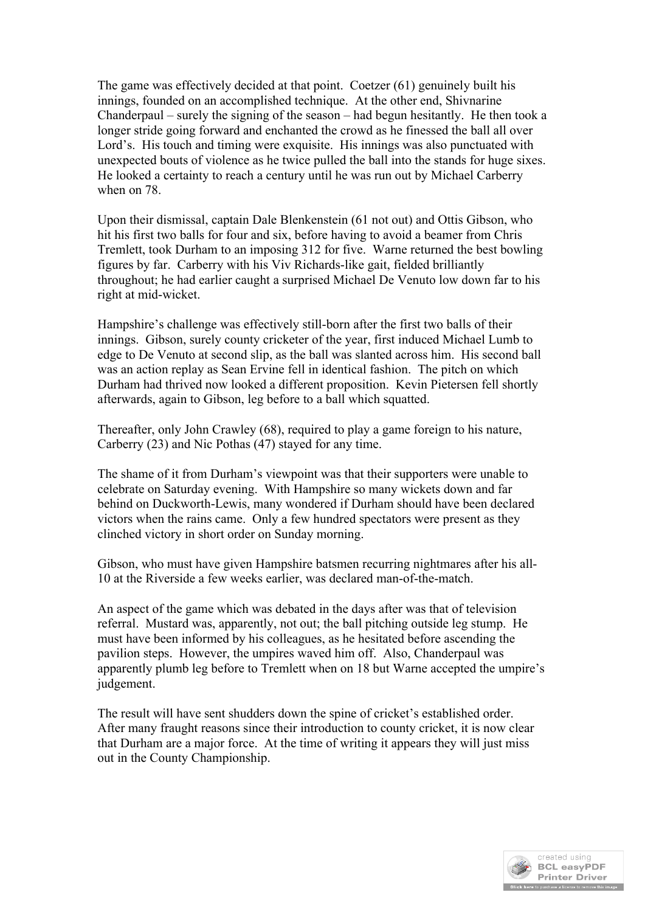The game was effectively decided at that point. Coetzer (61) genuinely built his innings, founded on an accomplished technique. At the other end, Shivnarine Chanderpaul – surely the signing of the season – had begun hesitantly. He then took a longer stride going forward and enchanted the crowd as he finessed the ball all over Lord's. His touch and timing were exquisite. His innings was also punctuated with unexpected bouts of violence as he twice pulled the ball into the stands for huge sixes. He looked a certainty to reach a century until he was run out by Michael Carberry when on 78.

Upon their dismissal, captain Dale Blenkenstein (61 not out) and Ottis Gibson, who hit his first two balls for four and six, before having to avoid a beamer from Chris Tremlett, took Durham to an imposing 312 for five. Warne returned the best bowling figures by far. Carberry with his Viv Richards-like gait, fielded brilliantly throughout; he had earlier caught a surprised Michael De Venuto low down far to his right at mid-wicket.

Hampshire's challenge was effectively still-born after the first two balls of their innings. Gibson, surely county cricketer of the year, first induced Michael Lumb to edge to De Venuto at second slip, as the ball was slanted across him. His second ball was an action replay as Sean Ervine fell in identical fashion. The pitch on which Durham had thrived now looked a different proposition. Kevin Pietersen fell shortly afterwards, again to Gibson, leg before to a ball which squatted.

Thereafter, only John Crawley (68), required to play a game foreign to his nature, Carberry (23) and Nic Pothas (47) stayed for any time.

The shame of it from Durham's viewpoint was that their supporters were unable to celebrate on Saturday evening. With Hampshire so many wickets down and far behind on Duckworth-Lewis, many wondered if Durham should have been declared victors when the rains came. Only a few hundred spectators were present as they clinched victory in short order on Sunday morning.

Gibson, who must have given Hampshire batsmen recurring nightmares after his all-10 at the Riverside a few weeks earlier, was declared man-of-the-match.

An aspect of the game which was debated in the days after was that of television referral. Mustard was, apparently, not out; the ball pitching outside leg stump. He must have been informed by his colleagues, as he hesitated before ascending the pavilion steps. However, the umpires waved him off. Also, Chanderpaul was apparently plumb leg before to Tremlett when on 18 but Warne accepted the umpire's judgement.

The result will have sent shudders down the spine of cricket's established order. After many fraught reasons since their introduction to county cricket, it is now clear that Durham are a major force. At the time of writing it appears they will just miss out in the County Championship.